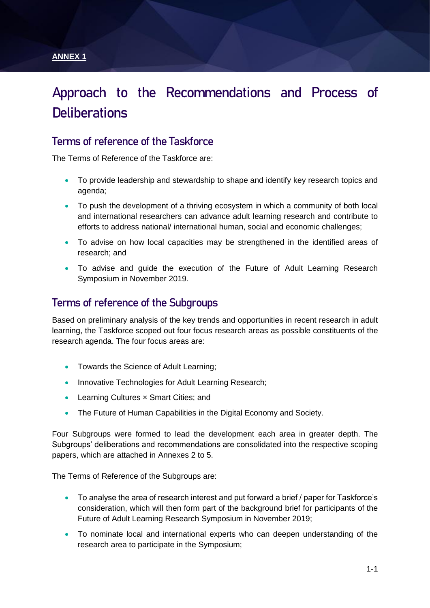#### **ANNEX 1**

# **Approach to the Recommendations and Process of Deliberations**

### **Terms of reference of the Taskforce**

The Terms of Reference of the Taskforce are:

- To provide leadership and stewardship to shape and identify key research topics and agenda;
- To push the development of a thriving ecosystem in which a community of both local and international researchers can advance adult learning research and contribute to efforts to address national/ international human, social and economic challenges;
- To advise on how local capacities may be strengthened in the identified areas of research; and
- To advise and guide the execution of the Future of Adult Learning Research Symposium in November 2019.

### **Terms of reference of the Subgroups**

Based on preliminary analysis of the key trends and opportunities in recent research in adult learning, the Taskforce scoped out four focus research areas as possible constituents of the research agenda. The four focus areas are:

- Towards the Science of Adult Learning;
- Innovative Technologies for Adult Learning Research;
- Learning Cultures x Smart Cities; and
- The Future of Human Capabilities in the Digital Economy and Society.

Four Subgroups were formed to lead the development each area in greater depth. The Subgroups' deliberations and recommendations are consolidated into the respective scoping papers, which are attached in Annexes 2 to 5.

The Terms of Reference of the Subgroups are:

- To analyse the area of research interest and put forward a brief / paper for Taskforce's consideration, which will then form part of the background brief for participants of the Future of Adult Learning Research Symposium in November 2019;
- To nominate local and international experts who can deepen understanding of the research area to participate in the Symposium;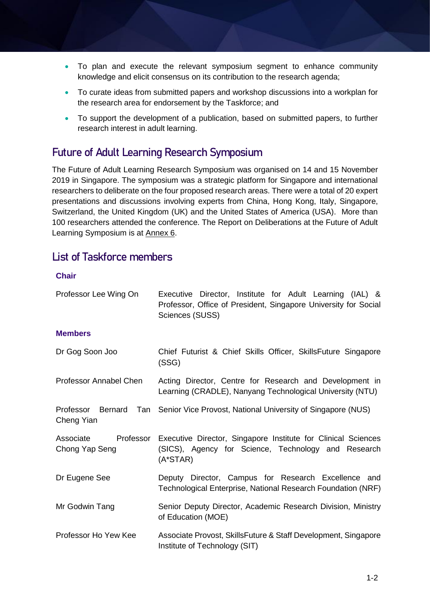- To plan and execute the relevant symposium segment to enhance community knowledge and elicit consensus on its contribution to the research agenda;
- To curate ideas from submitted papers and workshop discussions into a workplan for the research area for endorsement by the Taskforce; and
- To support the development of a publication, based on submitted papers, to further research interest in adult learning.

### **Future of Adult Learning Research Symposium**

The Future of Adult Learning Research Symposium was organised on 14 and 15 November 2019 in Singapore. The symposium was a strategic platform for Singapore and international researchers to deliberate on the four proposed research areas. There were a total of 20 expert presentations and discussions involving experts from China, Hong Kong, Italy, Singapore, Switzerland, the United Kingdom (UK) and the United States of America (USA). More than 100 researchers attended the conference. The Report on Deliberations at the Future of Adult Learning Symposium is at Annex 6.

### **List of Taskforce members**

#### **Chair**

| Professor Lee Wing On                    | Executive Director, Institute for Adult Learning (IAL) &<br>Professor, Office of President, Singapore University for Social<br>Sciences (SUSS) |
|------------------------------------------|------------------------------------------------------------------------------------------------------------------------------------------------|
| <b>Members</b>                           |                                                                                                                                                |
| Dr Gog Soon Joo                          | Chief Futurist & Chief Skills Officer, Skills Future Singapore<br>(SSG)                                                                        |
| Professor Annabel Chen                   | Acting Director, Centre for Research and Development in<br>Learning (CRADLE), Nanyang Technological University (NTU)                           |
| Professor Bernard<br>Cheng Yian          | Tan Senior Vice Provost, National University of Singapore (NUS)                                                                                |
| Associate<br>Professor<br>Chong Yap Seng | Executive Director, Singapore Institute for Clinical Sciences<br>(SICS), Agency for Science, Technology and Research<br>$(A*STAR)$             |
| Dr Eugene See                            | Deputy Director, Campus for Research Excellence and<br>Technological Enterprise, National Research Foundation (NRF)                            |
| Mr Godwin Tang                           | Senior Deputy Director, Academic Research Division, Ministry<br>of Education (MOE)                                                             |
| Professor Ho Yew Kee                     | Associate Provost, SkillsFuture & Staff Development, Singapore<br>Institute of Technology (SIT)                                                |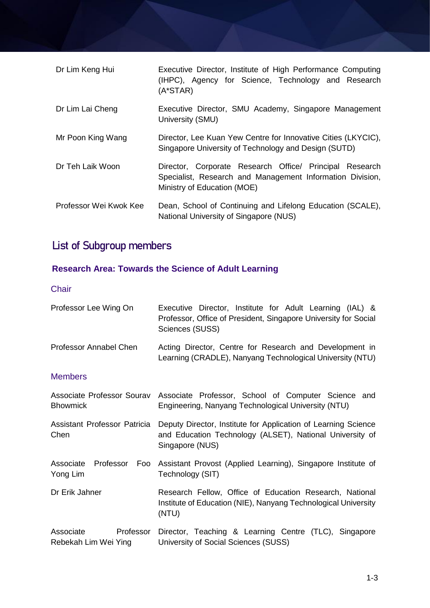| Dr Lim Keng Hui        | Executive Director, Institute of High Performance Computing<br>(IHPC), Agency for Science, Technology and Research<br>$(A*STAR)$                    |
|------------------------|-----------------------------------------------------------------------------------------------------------------------------------------------------|
| Dr Lim Lai Cheng       | Executive Director, SMU Academy, Singapore Management<br>University (SMU)                                                                           |
| Mr Poon King Wang      | Director, Lee Kuan Yew Centre for Innovative Cities (LKYCIC),<br>Singapore University of Technology and Design (SUTD)                               |
| Dr Teh Laik Woon       | Director, Corporate Research Office/ Principal Research<br>Specialist, Research and Management Information Division,<br>Ministry of Education (MOE) |
| Professor Wei Kwok Kee | Dean, School of Continuing and Lifelong Education (SCALE),<br>National University of Singapore (NUS)                                                |

# **List of Subgroup members**

# **Research Area: Towards the Science of Adult Learning**

**Chair** 

| Professor Lee Wing On                          | Executive Director, Institute for Adult Learning (IAL) &<br>Professor, Office of President, Singapore University for Social<br>Sciences (SUSS) |
|------------------------------------------------|------------------------------------------------------------------------------------------------------------------------------------------------|
| Professor Annabel Chen                         | Acting Director, Centre for Research and Development in<br>Learning (CRADLE), Nanyang Technological University (NTU)                           |
| <b>Members</b>                                 |                                                                                                                                                |
| Associate Professor Sourav<br><b>Bhowmick</b>  | Associate Professor, School of Computer Science and<br>Engineering, Nanyang Technological University (NTU)                                     |
| Assistant Professor Patricia<br>Chen           | Deputy Director, Institute for Application of Learning Science<br>and Education Technology (ALSET), National University of<br>Singapore (NUS)  |
| Associate<br>Professor<br>Foo<br>Yong Lim      | Assistant Provost (Applied Learning), Singapore Institute of<br>Technology (SIT)                                                               |
| Dr Erik Jahner                                 | Research Fellow, Office of Education Research, National<br>Institute of Education (NIE), Nanyang Technological University<br>(NTU)             |
| Professor<br>Associate<br>Rebekah Lim Wei Ying | Director, Teaching & Learning Centre (TLC), Singapore<br>University of Social Sciences (SUSS)                                                  |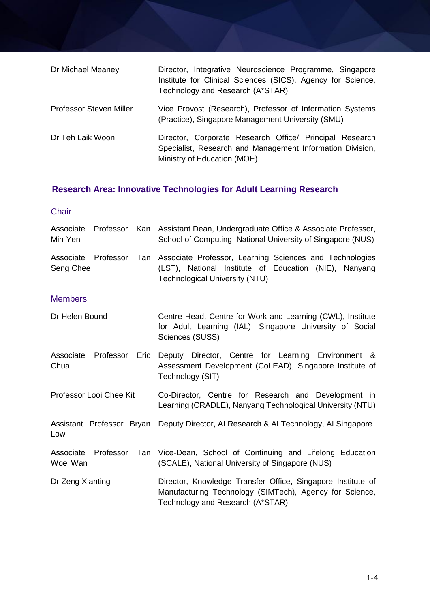| Dr Michael Meaney              | Director, Integrative Neuroscience Programme, Singapore<br>Institute for Clinical Sciences (SICS), Agency for Science,<br>Technology and Research (A*STAR) |
|--------------------------------|------------------------------------------------------------------------------------------------------------------------------------------------------------|
| <b>Professor Steven Miller</b> | Vice Provost (Research), Professor of Information Systems<br>(Practice), Singapore Management University (SMU)                                             |
| Dr Teh Laik Woon               | Director, Corporate Research Office/ Principal Research<br>Specialist, Research and Management Information Division,<br>Ministry of Education (MOE)        |

# **Research Area: Innovative Technologies for Adult Learning Research**

### **Chair**

| Associate<br>Min-Yen             |                           |      | Professor Kan Assistant Dean, Undergraduate Office & Associate Professor,<br>School of Computing, National University of Singapore (NUS)                   |
|----------------------------------|---------------------------|------|------------------------------------------------------------------------------------------------------------------------------------------------------------|
| Associate Professor<br>Seng Chee |                           | Tan  | Associate Professor, Learning Sciences and Technologies<br>(LST), National Institute of Education (NIE), Nanyang<br><b>Technological University (NTU)</b>  |
| <b>Members</b>                   |                           |      |                                                                                                                                                            |
| Dr Helen Bound                   |                           |      | Centre Head, Centre for Work and Learning (CWL), Institute<br>for Adult Learning (IAL), Singapore University of Social<br>Sciences (SUSS)                  |
| Associate<br>Chua                | Professor                 | Eric | Deputy Director, Centre for Learning Environment &<br>Assessment Development (CoLEAD), Singapore Institute of<br>Technology (SIT)                          |
|                                  | Professor Looi Chee Kit   |      | Co-Director, Centre for Research and Development in<br>Learning (CRADLE), Nanyang Technological University (NTU)                                           |
| Low                              | Assistant Professor Bryan |      | Deputy Director, AI Research & AI Technology, AI Singapore                                                                                                 |
| Associate<br>Woei Wan            | Professor                 | Tan  | Vice-Dean, School of Continuing and Lifelong Education<br>(SCALE), National University of Singapore (NUS)                                                  |
| Dr Zeng Xianting                 |                           |      | Director, Knowledge Transfer Office, Singapore Institute of<br>Manufacturing Technology (SIMTech), Agency for Science,<br>Technology and Research (A*STAR) |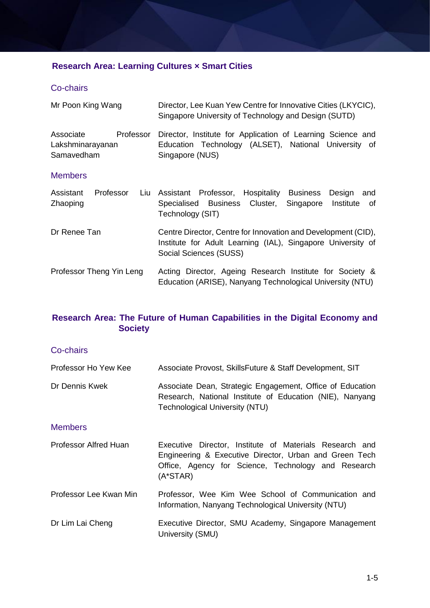### **Research Area: Learning Cultures × Smart Cities**

#### Co-chairs

| Mr Poon King Wang                                        | Director, Lee Kuan Yew Centre for Innovative Cities (LKYCIC),<br>Singapore University of Technology and Design (SUTD)                                  |
|----------------------------------------------------------|--------------------------------------------------------------------------------------------------------------------------------------------------------|
| Associate<br>Professor<br>Lakshminarayanan<br>Samavedham | Director, Institute for Application of Learning Science and<br>Education Technology (ALSET), National University of<br>Singapore (NUS)                 |
| <b>Members</b>                                           |                                                                                                                                                        |
| Assistant<br>Professor<br>Liu<br>Zhaoping                | Assistant Professor, Hospitality Business<br>Design<br>and<br>Specialised Business Cluster,<br>Singapore<br>Institute<br>0f<br>Technology (SIT)        |
| Dr Renee Tan                                             | Centre Director, Centre for Innovation and Development (CID),<br>Institute for Adult Learning (IAL), Singapore University of<br>Social Sciences (SUSS) |
| Professor Theng Yin Leng                                 | Acting Director, Ageing Research Institute for Society &<br>Education (ARISE), Nanyang Technological University (NTU)                                  |

### **Research Area: The Future of Human Capabilities in the Digital Economy and Society**

#### Co-chairs

| Professor Ho Yew Kee   | Associate Provost, SkillsFuture & Staff Development, SIT                                                                                                                               |
|------------------------|----------------------------------------------------------------------------------------------------------------------------------------------------------------------------------------|
| Dr Dennis Kwek         | Associate Dean, Strategic Engagement, Office of Education<br>Research, National Institute of Education (NIE), Nanyang<br><b>Technological University (NTU)</b>                         |
| <b>Members</b>         |                                                                                                                                                                                        |
| Professor Alfred Huan  | Executive Director, Institute of Materials Research and<br>Engineering & Executive Director, Urban and Green Tech<br>Office, Agency for Science, Technology and Research<br>$(A*STAR)$ |
| Professor Lee Kwan Min | Professor, Wee Kim Wee School of Communication and<br>Information, Nanyang Technological University (NTU)                                                                              |
| Dr Lim Lai Cheng       | Executive Director, SMU Academy, Singapore Management<br>University (SMU)                                                                                                              |